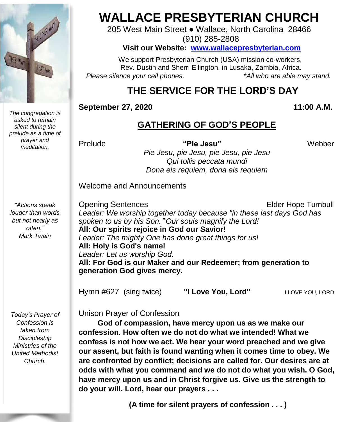

*The congregation is asked to remain silent during the prelude as a time of prayer and meditation.*

*"Actions speak louder than words but not nearly as often." Mark Twain*

*Today's Prayer of Confession is taken from Discipleship Ministries of the United Methodist Church.*

# **WALLACE PRESBYTERIAN CHURCH**

205 West Main Street ● Wallace, North Carolina 28466 (910) 285-2808

#### **Visit our Website: [www.wallacepresbyterian.com](http://www.wallacepresbyterian.com/)**

 We support Presbyterian Church (USA) mission co-workers, Rev. Dustin and Sherri Ellington, in Lusaka, Zambia, Africa. *Please silence your cell phones. \*All who are able may stand.*

## **THE SERVICE FOR THE LORD'S DAY**

#### **September 27, 2020** 11:00 **A.M.**

#### **GATHERING OF GOD'S PEOPLE**

Prelude **"Pie Jesu"** Webber

*Pie Jesu, pie Jesu, pie Jesu, pie Jesu Qui tollis peccata mundi Dona eis requiem, dona eis requiem*

Welcome and Announcements

Opening Sentences **Elder Hope Turnbull** *Leader: We worship together today because "in these last days God has spoken to us by his Son.*" *Our souls magnify the Lord!* **All: Our spirits rejoice in God our Savior!** *Leader: The mighty One has done great things for us!* **All: Holy is God's name!** *Leader: Let us worship God.* **All: For God is our Maker and our Redeemer; from generation to generation God gives mercy.**

Hymn #627 (sing twice) **"I Love You, Lord"**<sup>I</sup> LOVE YOU, LORD

Unison Prayer of Confession

 **God of compassion, have mercy upon us as we make our confession. How often we do not do what we intended! What we confess is not how we act. We hear your word preached and we give our assent, but faith is found wanting when it comes time to obey. We are confronted by conflict; decisions are called for. Our desires are at odds with what you command and we do not do what you wish. O God, have mercy upon us and in Christ forgive us. Give us the strength to do your will. Lord, hear our prayers . . .**

**(A time for silent prayers of confession . . . )**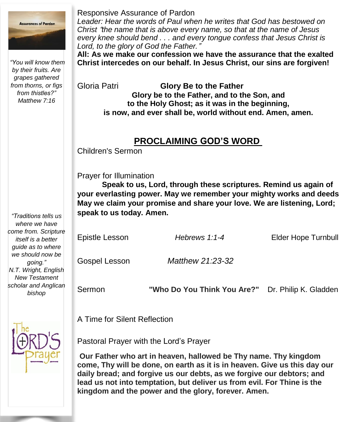

*"You will know them by their fruits. Are grapes gathered from thorns, or figs from thistles?" Matthew 7:16*

#### Responsive Assurance of Pardon

*Leader: Hear the words of Paul when he writes that God has bestowed on Christ* "*the name that is above every name, so that at the name of Jesus every knee should bend . . . and every tongue confess that Jesus Christ is Lord, to the glory of God the Father.*"

**All: As we make our confession we have the assurance that the exalted Christ intercedes on our behalf. In Jesus Christ, our sins are forgiven!**

Gloria Patri **Glory Be to the Father Glory be to the Father, and to the Son, and to the Holy Ghost; as it was in the beginning, is now, and ever shall be, world without end. Amen, amen.**

#### **PROCLAIMING GOD'S WORD**

Children's Sermon

Prayer for Illumination

**Speak to us, Lord, through these scriptures. Remind us again of your everlasting power. May we remember your mighty works and deeds May we claim your promise and share your love. We are listening, Lord; speak to us today. Amen.**

| Epistle Lesson | Hebrews $1:1-4$  | Elder Hope Turnbull |
|----------------|------------------|---------------------|
| Gospel Lesson  | Matthew 21:23-32 |                     |

Sermon **"Who Do You Think You Are?"** Dr. Philip K. Gladden

A Time for Silent Reflection

Pastoral Prayer with the Lord's Prayer

**Our Father who art in heaven, hallowed be Thy name. Thy kingdom come, Thy will be done, on earth as it is in heaven. Give us this day our daily bread; and forgive us our debts, as we forgive our debtors; and lead us not into temptation, but deliver us from evil. For Thine is the kingdom and the power and the glory, forever. Amen.**

*"Traditions tells us where we have come from. Scripture itself is a better guide as to where we should now be going." N.T. Wright, English New Testament scholar and Anglican bishop*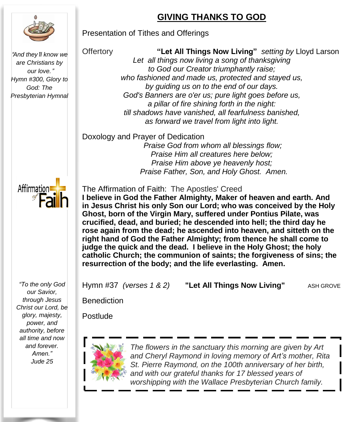### **GIVING THANKS TO GOD**

#### Presentation of Tithes and Offerings

"*And they*'*ll know we are Christians by our love.*" *Hymn #300, Glory to God: The Presbyterian Hymnal* Offertory **"Let All Things Now Living"** *setting by* Lloyd Larson *Let all things now living a song of thanksgiving to God our Creator triumphantly raise; who fashioned and made us, protected and stayed us, by guiding us on to the end of our days. God's Banners are o'er us; pure light goes before us, a pillar of fire shining forth in the night: till shadows have vanished, all fearfulness banished, as forward we travel from light into light.*

Doxology and Prayer of Dedication

*Praise God from whom all blessings flow; Praise Him all creatures here below; Praise Him above ye heavenly host; Praise Father, Son, and Holy Ghost. Amen.*

Affirmation

*"To the only God our Savior, through Jesus Christ our Lord, be glory, majesty, power, and authority, before all time and now and forever. Amen." Jude 25*

The Affirmation of Faith: The Apostles' Creed

**I believe in God the Father Almighty, Maker of heaven and earth. And in Jesus Christ his only Son our Lord; who was conceived by the Holy Ghost, born of the Virgin Mary, suffered under Pontius Pilate, was crucified, dead, and buried; he descended into hell; the third day he rose again from the dead; he ascended into heaven, and sitteth on the right hand of God the Father Almighty; from thence he shall come to judge the quick and the dead. I believe in the Holy Ghost; the holy catholic Church; the communion of saints; the forgiveness of sins; the resurrection of the body; and the life everlasting. Amen.**

Hymn #37 *(verses 1 & 2)* **"Let All Things Now Living"** ASH GROVE

**Benediction** 

Postlude



 *The flowers in the sanctuary this morning are given by Art and Cheryl Raymond in loving memory of Art's mother, Rita St. Pierre Raymond, on the 100th anniversary of her birth, and with our grateful thanks for 17 blessed years of worshipping with the Wallace Presbyterian Church family.*